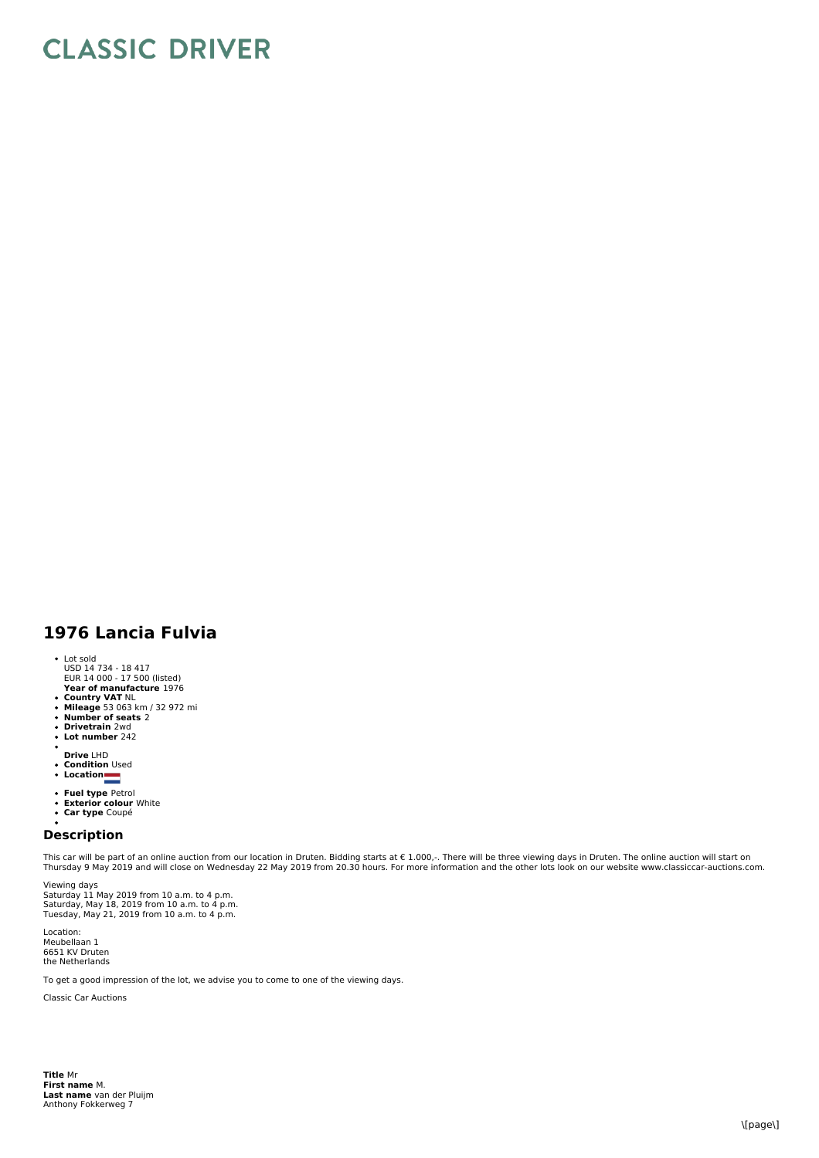## **CLASSIC DRIVER**

## **1976 Lancia Fulvia**

- 
- Lot sold USD 14 734 18 417 EUR 14 000 17 500 (listed)
- **Year of manufacture** 1976
- 
- **Country VAT** NL<br>**Mileage** 53 063 km / 32 972 mi<br>**Number of seats** 2<br>**Drivetrain** 2wd
- 
- $\ddot{\phantom{0}}$ **Lot number** 242
- 
- **Drive** LHD **Condition** Used **Location**
- 
- 
- 
- **Fuel type** Petrol<br>**Exterior colour** White<br>**Car type** Coupé
- 

## **Description**

This car will be part of an online auction from our location in Druten. Bidding starts at € 1.000,-. There will be three viewing days in Druten. The online auction will start on<br>Thursday 9 May 2019 and will close on Wedne

Viewing days Saturday 11 May 2019 from 10 a.m. to 4 p.m.<br>Saturday, May 18, 2019 from 10 a.m. to 4 p.m.<br>Tuesday, May 21, 2019 from 10 a.m. to 4 p.m.

Location: Meubellaan 1 6651 KV Druten the Netherlands

To get a good impression of the lot, we advise you to come to one of the viewing days.

Classic Car Auctions